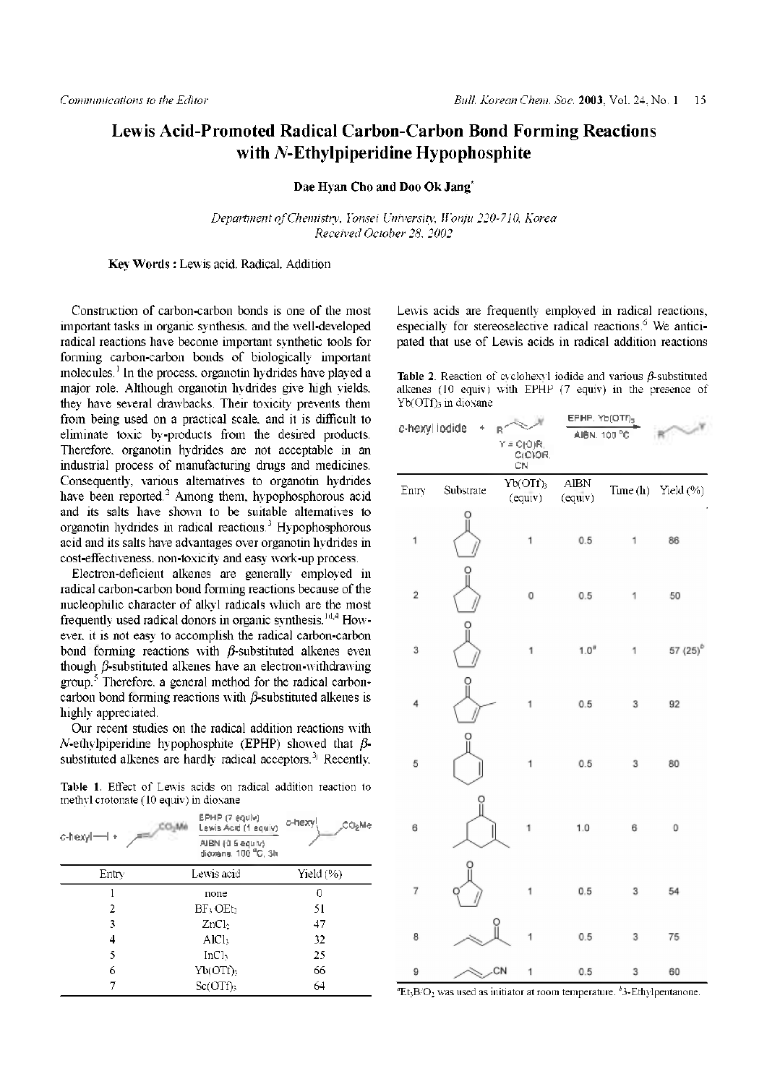## **Lewis Acid-Promoted Radical Carbon-Carbon Bond Forming Reactions with** *N***-Ethylpiperidine Hypophosphite**

**Dae Hyan Cho and Doo Ok Jang**\*

*Department ofChemistry, Yonsei University, Wonju 220-710, Korea Received October 28, 2002*

**Key Words :** Lewis acid, Radical, Addition

Construction of carbon-carbon bonds is one of the most important tasks in organic synthesis, and the well-developed radical reactions have become important synthetic tools for forming carbon-carbon bonds of biologically important molecules.<sup>1</sup> In the process, organotin hydrides have played a major role. Although organotin hydrides give high yields, they have several drawbacks. Their toxicity prevents them from being used on a practical scale, and it is difficult to eliminate toxic by-products from the desired products. Therefore, organotin hydrides are not acceptable in an industrial process of manufacturing drugs and medicines. Consequently, various alternatives to organotin hydrides have been reported.<sup>2</sup> Among them, hypophosphorous acid and its salts have shown to be suitable alternatives to organotin hydrides in radical reactions.<sup>3</sup> Hypophosphorous acid and its salts have advantages over organotin hydrides in cost-effectiveness, non-toxicity and easy work-up process.

Electron-deficient alkenes are generally employed in radical carbon-carbon bond forming reactions because of the nucleophilic character of alkyl radicals which are the most frequently used radical donors in organic synthesis.<sup>1d,4</sup> However, it is not easy to accomplish the radical carbon-carbon bond forming reactions with  $\beta$ -substituted alkenes even though *ß*-substituted alkenes have an electron-withdrawing group.<sup>5</sup> Therefore, a general method for the radical carboncarbon bond forming reactions with  $\beta$ -substituted alkenes is highly appreciated.

Our recent studies on the radical addition reactions with N-ethylpiperidine hypophosphite (EPHP) showed that  $\beta$ substituted alkenes are hardly radical acceptors.<sup>3j</sup> Recently,

**Table 1**. Effect of Lewis acids on radical addition reaction to methyl crotonate (10 equiv) in dioxane

|          | EPHP (7 equiv)<br>Lewis Acid (1 equiv)  | o-hexy!<br><b>СО"ме</b> |  |
|----------|-----------------------------------------|-------------------------|--|
| c-hexyl- | AIBN (0.6 equiv)<br>dioxane, 100 °C, 3h |                         |  |
| Entry    | Lewis acid                              | Yield (%)               |  |
|          | none                                    | 0                       |  |
| 2        | $BF_3 \cdot OEt_2$                      | 51                      |  |
| 3        | ZnCl <sub>2</sub>                       | 47                      |  |
| 4        | AlCl <sub>3</sub>                       | 32                      |  |
| 5        | InCl <sub>3</sub>                       | 25                      |  |
| 6        | Yb(OTf)                                 | 66                      |  |
| 7        | Sc(OTf)                                 | 64                      |  |

Lewis acids are frequently employed in radical reactions, especially for stereoselective radical reactions.<sup>6</sup> We anticipated that use of Lewis acids in radical addition reactions

**Table 2**. Reaction of cyclohexyl iodide and various *^*-substituted alkenes (10 equiv) with EPHP (7 equiv) in the presence of Yb(OTf)<sub>3</sub> in dioxane

| c-hexyl iodide          | $\ddot{}$ | R<br>$Y = C(Q)R$<br>C(O)OR.<br>сŃ | EPHP. Yb(OTI) <sub>3</sub><br>AI6N, 100 °C |   |                         |
|-------------------------|-----------|-----------------------------------|--------------------------------------------|---|-------------------------|
| Entry                   | Substrate | $Yb(OTf)_{3}$<br>(equiv)          | ${\rm AIBN}$<br>(equiv)                    |   | Time $(h)$ Yield $(\%)$ |
| 1                       | o<br>Il   | 1                                 | 0.5                                        | 1 | 86                      |
| $\overline{\mathbf{c}}$ | ဂူ        | 0                                 | 0.5                                        | 1 | 50                      |
| 3                       | ူ         | 1                                 | $1.0^a$                                    | 1 | 57 (25) <sup>b</sup>    |
| 4                       | Ο         | 1                                 | 0.5                                        | 3 | 92                      |
| 5                       | ဂူ        | 1                                 | 0.5                                        | 3 | 80                      |
| 6                       |           | 1                                 | 1.0                                        | 6 | 0                       |
| 7                       |           | 1                                 | 0.5                                        | 3 | 54                      |
| 8                       |           | Ö<br>1                            | 0.5%                                       | 3 | 75                      |
| 9                       |           | CN<br>1                           | 0.5                                        | 3 | 60                      |

*<sup>a</sup>*Et3B/O<sup>2</sup> was used as initiator at room temperature. *<sup>b</sup>*3-Ethylpentanone.